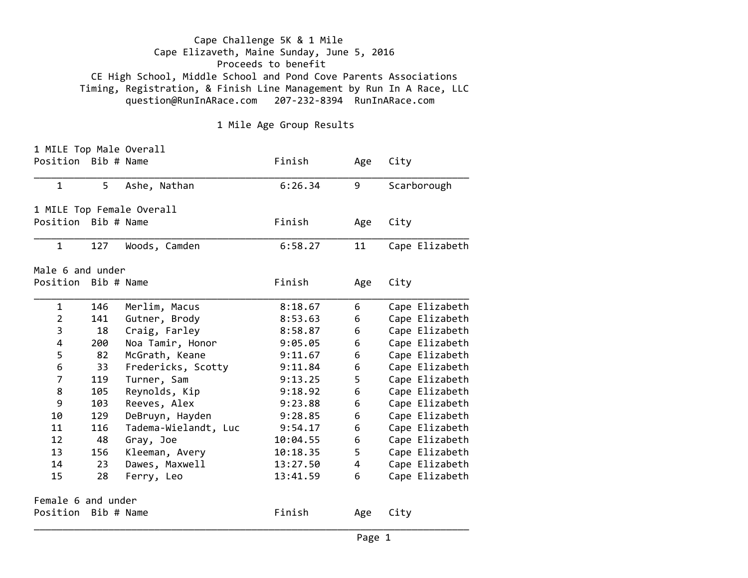Cape Challenge 5K & 1 Mile Cape Elizaveth, Maine Sunday, June 5, 2016 Proceeds to benefit CE High School, Middle School and Pond Cove Parents Associations Timing, Registration, & Finish Line Management by Run In A Race, LLC question@RunInARace.com 207‐232‐8394 RunInARace.com

1 Mile Age Group Results

| 1 MILE Top Male Overall |            |                           |          |     |                |
|-------------------------|------------|---------------------------|----------|-----|----------------|
| Position Bib # Name     |            |                           | Finish   | Age | City           |
| $\mathbf{1}$            | 5          | Ashe, Nathan              | 6:26.34  | 9   | Scarborough    |
|                         |            | 1 MILE Top Female Overall |          |     |                |
| Position Bib # Name     |            |                           | Finish   | Age | City           |
| $\mathbf{1}$            | 127        | Woods, Camden             | 6:58.27  | 11  | Cape Elizabeth |
| Male 6 and under        |            |                           |          |     |                |
| Position Bib # Name     |            |                           | Finish   | Age | City           |
| $\mathbf{1}$            | 146        | Merlim, Macus             | 8:18.67  | 6   | Cape Elizabeth |
| $\overline{2}$          | 141        | Gutner, Brody             | 8:53.63  | 6   | Cape Elizabeth |
| 3                       | 18         | Craig, Farley             | 8:58.87  | 6   | Cape Elizabeth |
| 4                       | 200        | Noa Tamir, Honor          | 9:05.05  | 6   | Cape Elizabeth |
| 5                       | 82         | McGrath, Keane            | 9:11.67  | 6   | Cape Elizabeth |
| 6                       | 33         | Fredericks, Scotty        | 9:11.84  | 6   | Cape Elizabeth |
| $\overline{7}$          | 119        | Turner, Sam               | 9:13.25  | 5   | Cape Elizabeth |
| 8                       | 105        | Reynolds, Kip             | 9:18.92  | 6   | Cape Elizabeth |
| 9                       | 103        | Reeves, Alex              | 9:23.88  | 6   | Cape Elizabeth |
| 10                      | 129        | DeBruyn, Hayden           | 9:28.85  | 6   | Cape Elizabeth |
| 11                      | 116        | Tadema-Wielandt, Luc      | 9:54.17  | 6   | Cape Elizabeth |
| 12                      | 48         | Gray, Joe                 | 10:04.55 | 6   | Cape Elizabeth |
| 13                      | 156        | Kleeman, Avery            | 10:18.35 | 5   | Cape Elizabeth |
| 14                      | 23         | Dawes, Maxwell            | 13:27.50 | 4   | Cape Elizabeth |
| 15                      | 28         | Ferry, Leo                | 13:41.59 | 6   | Cape Elizabeth |
| Female 6 and under      |            |                           |          |     |                |
| Position                | Bib # Name |                           | Finish   | Age | City           |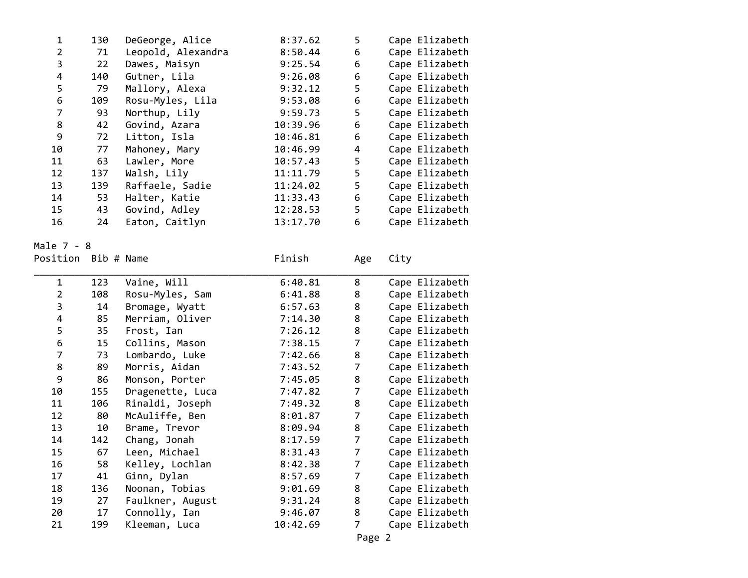| 1                   | 130 | DeGeorge, Alice    | 8:37.62  | 5   |      | Cape Elizabeth |
|---------------------|-----|--------------------|----------|-----|------|----------------|
| $\overline{2}$      | 71  | Leopold, Alexandra | 8:50.44  | 6   |      | Cape Elizabeth |
| 3                   | 22  | Dawes, Maisyn      | 9:25.54  | 6   |      | Cape Elizabeth |
| $\overline{4}$      | 140 | Gutner, Lila       | 9:26.08  | 6   |      | Cape Elizabeth |
| 5                   | 79  | Mallory, Alexa     | 9:32.12  | 5   |      | Cape Elizabeth |
| 6                   | 109 | Rosu-Myles, Lila   | 9:53.08  | 6   |      | Cape Elizabeth |
| $\overline{7}$      | 93  | Northup, Lily      | 9:59.73  | 5   |      | Cape Elizabeth |
| 8                   | 42  | Govind, Azara      | 10:39.96 | 6   |      | Cape Elizabeth |
| 9                   | 72  | Litton, Isla       | 10:46.81 | 6   |      | Cape Elizabeth |
| 10                  | 77  | Mahoney, Mary      | 10:46.99 | 4   |      | Cape Elizabeth |
| 11                  | 63  | Lawler, More       | 10:57.43 | 5   |      | Cape Elizabeth |
| 12                  | 137 | Walsh, Lily        | 11:11.79 | 5   |      | Cape Elizabeth |
| 13                  | 139 | Raffaele, Sadie    | 11:24.02 | 5   |      | Cape Elizabeth |
| 14                  | 53  | Halter, Katie      | 11:33.43 | 6   |      | Cape Elizabeth |
| 15                  | 43  | Govind, Adley      | 12:28.53 | 5   |      | Cape Elizabeth |
| 16                  | 24  | Eaton, Caitlyn     | 13:17.70 | 6   |      | Cape Elizabeth |
|                     |     |                    |          |     |      |                |
| ale 7 - 8           |     |                    |          |     |      |                |
| osition  Bib # Name |     |                    | Finish   | Age | City |                |
|                     |     |                    |          |     |      |                |
| $\mathbf{1}$        | 123 | Vaine, Will        | 6:40.81  | 8   |      | Cape Elizabeth |
| $\overline{2}$      | 108 | Rosu-Myles, Sam    | 6:41.88  | 8   |      | Cape Elizabeth |
| 3                   | 14  | Bromage, Wyatt     | 6:57.63  | 8   |      | Cape Elizabeth |
| 4                   | 85  | Merriam, Oliver    | 7:14.30  | 8   |      | Cape Elizabeth |
|                     |     |                    |          |     |      |                |

MalePo

| FUSILIUN DIU # NAME |     |                  | ווכבווב ו | Age            | ⊂⊥∟y           |
|---------------------|-----|------------------|-----------|----------------|----------------|
| 1                   | 123 | Vaine, Will      | 6:40.81   | 8              | Cape Elizabeth |
| $\overline{2}$      | 108 | Rosu-Myles, Sam  | 6:41.88   | 8              | Cape Elizabeth |
| 3                   | 14  | Bromage, Wyatt   | 6:57.63   | 8              | Cape Elizabeth |
| 4                   | 85  | Merriam, Oliver  | 7:14.30   | 8              | Cape Elizabeth |
| 5                   | 35  | Frost, Ian       | 7:26.12   | 8              | Cape Elizabeth |
| 6                   | 15  | Collins, Mason   | 7:38.15   | 7              | Cape Elizabeth |
| $\overline{7}$      | 73  | Lombardo, Luke   | 7:42.66   | 8              | Cape Elizabeth |
| 8                   | 89  | Morris, Aidan    | 7:43.52   | $\overline{7}$ | Cape Elizabeth |
| 9                   | 86  | Monson, Porter   | 7:45.05   | 8              | Cape Elizabeth |
| 10                  | 155 | Dragenette, Luca | 7:47.82   | $\overline{7}$ | Cape Elizabeth |
| 11                  | 106 | Rinaldi, Joseph  | 7:49.32   | 8              | Cape Elizabeth |
| 12                  | 80  | McAuliffe, Ben   | 8:01.87   | $\overline{7}$ | Cape Elizabeth |
| 13                  | 10  | Brame, Trevor    | 8:09.94   | 8              | Cape Elizabeth |
| 14                  | 142 | Chang, Jonah     | 8:17.59   | $\overline{7}$ | Cape Elizabeth |
| 15                  | 67  | Leen, Michael    | 8:31.43   | $\overline{7}$ | Cape Elizabeth |
| 16                  | 58  | Kelley, Lochlan  | 8:42.38   | $\overline{7}$ | Cape Elizabeth |
| 17                  | 41  | Ginn, Dylan      | 8:57.69   | 7              | Cape Elizabeth |
| 18                  | 136 | Noonan, Tobias   | 9:01.69   | 8              | Cape Elizabeth |
| 19                  | 27  | Faulkner, August | 9:31.24   | 8              | Cape Elizabeth |
| 20                  | 17  | Connolly, Ian    | 9:46.07   | 8              | Cape Elizabeth |
| 21                  | 199 | Kleeman, Luca    | 10:42.69  | 7              | Cape Elizabeth |
|                     |     |                  |           | Page 2         |                |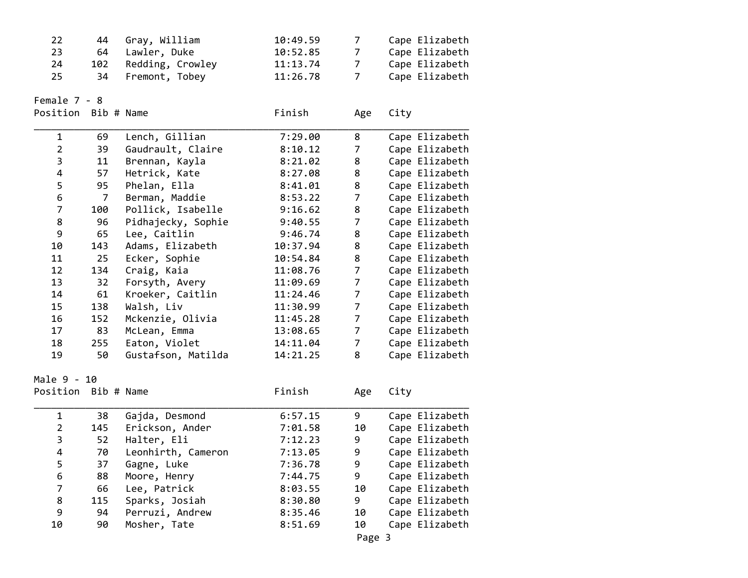| 22                  | 44             | Gray, William      | 10:49.59 | $\overline{7}$ |      | Cape Elizabeth                   |
|---------------------|----------------|--------------------|----------|----------------|------|----------------------------------|
| 23                  | 64             | Lawler, Duke       | 10:52.85 | $\overline{7}$ |      | Cape Elizabeth                   |
| 24                  | 102            | Redding, Crowley   | 11:13.74 | $\overline{7}$ |      | Cape Elizabeth                   |
| 25                  | 34             | Fremont, Tobey     | 11:26.78 | $\overline{7}$ |      | Cape Elizabeth                   |
|                     |                |                    |          |                |      |                                  |
| Female 7 - 8        |                |                    |          |                |      |                                  |
| Position Bib # Name |                |                    | Finish   | Age            | City |                                  |
| $\mathbf 1$         | 69             | Lench, Gillian     | 7:29.00  | 8              |      |                                  |
| $\overline{2}$      | 39             | Gaudrault, Claire  | 8:10.12  | $\overline{7}$ |      | Cape Elizabeth<br>Cape Elizabeth |
| 3                   | 11             |                    |          | 8              |      |                                  |
|                     |                | Brennan, Kayla     | 8:21.02  |                |      | Cape Elizabeth                   |
| 4                   | 57             | Hetrick, Kate      | 8:27.08  | 8              |      | Cape Elizabeth                   |
| 5                   | 95             | Phelan, Ella       | 8:41.01  | 8              |      | Cape Elizabeth                   |
| 6                   | $\overline{7}$ | Berman, Maddie     | 8:53.22  | $\overline{7}$ |      | Cape Elizabeth                   |
| $\overline{7}$      | 100            | Pollick, Isabelle  | 9:16.62  | 8              |      | Cape Elizabeth                   |
| 8                   | 96             | Pidhajecky, Sophie | 9:40.55  | $\overline{7}$ |      | Cape Elizabeth                   |
| 9                   | 65             | Lee, Caitlin       | 9:46.74  | 8              |      | Cape Elizabeth                   |
| 10                  | 143            | Adams, Elizabeth   | 10:37.94 | 8              |      | Cape Elizabeth                   |
| 11                  | 25             | Ecker, Sophie      | 10:54.84 | 8              |      | Cape Elizabeth                   |
| 12                  | 134            | Craig, Kaia        | 11:08.76 | $\overline{7}$ |      | Cape Elizabeth                   |
| 13                  | 32             | Forsyth, Avery     | 11:09.69 | $\overline{7}$ |      | Cape Elizabeth                   |
| 14                  | 61             | Kroeker, Caitlin   | 11:24.46 | $\overline{7}$ |      | Cape Elizabeth                   |
| 15                  | 138            | Walsh, Liv         | 11:30.99 | $\overline{7}$ |      | Cape Elizabeth                   |
| 16                  | 152            | Mckenzie, Olivia   | 11:45.28 | $\overline{7}$ |      | Cape Elizabeth                   |
| 17                  | 83             | McLean, Emma       | 13:08.65 | $\overline{7}$ |      | Cape Elizabeth                   |
| 18                  | 255            | Eaton, Violet      | 14:11.04 | $\overline{7}$ |      | Cape Elizabeth                   |
| 19                  | 50             | Gustafson, Matilda | 14:21.25 | 8              |      | Cape Elizabeth                   |
|                     |                |                    |          |                |      |                                  |
| Male 9 - 10         |                |                    |          |                |      |                                  |
| Position Bib # Name |                |                    | Finish   | Age            | City |                                  |
| 1                   | 38             | Gajda, Desmond     | 6:57.15  | 9              |      | Cape Elizabeth                   |
| $\overline{2}$      | 145            | Erickson, Ander    | 7:01.58  | 10             |      | Cape Elizabeth                   |
| 3                   | 52             | Halter, Eli        | 7:12.23  | 9              |      | Cape Elizabeth                   |
| 4                   | 70             | Leonhirth, Cameron | 7:13.05  | 9              |      | Cape Elizabeth                   |
| 5                   | 37             | Gagne, Luke        | 7:36.78  | 9              |      | Cape Elizabeth                   |
| 6                   | 88             | Moore, Henry       | 7:44.75  | 9              |      | Cape Elizabeth                   |
| 7                   | 66             | Lee, Patrick       | 8:03.55  | 10             |      | Cape Elizabeth                   |
| 8                   | 115            | Sparks, Josiah     | 8:30.80  | 9              |      | Cape Elizabeth                   |
| 9                   | 94             | Perruzi, Andrew    | 8:35.46  | 10             |      | Cape Elizabeth                   |
| 10                  | 90             | Mosher, Tate       | 8:51.69  | 10             |      | Cape Elizabeth                   |
|                     |                |                    |          |                |      |                                  |

Page 3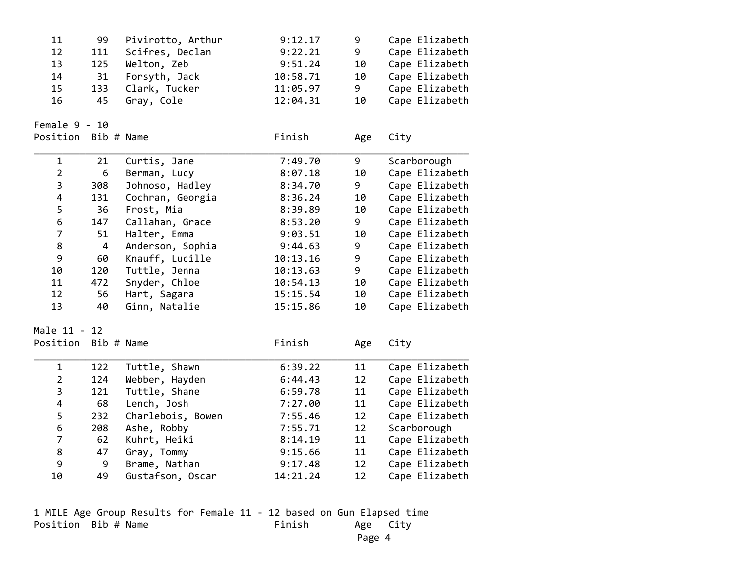| 11                      | 99                      | Pivirotto, Arthur | 9:12.17  | 9   | Cape Elizabeth |
|-------------------------|-------------------------|-------------------|----------|-----|----------------|
| 12                      | 111                     | Scifres, Declan   | 9:22.21  | 9   | Cape Elizabeth |
| 13                      | 125                     | Welton, Zeb       | 9:51.24  | 10  | Cape Elizabeth |
| 14                      | 31                      | Forsyth, Jack     | 10:58.71 | 10  | Cape Elizabeth |
| 15                      | 133                     | Clark, Tucker     | 11:05.97 | 9   | Cape Elizabeth |
| 16                      | 45                      | Gray, Cole        | 12:04.31 | 10  | Cape Elizabeth |
| Female $9 - 10$         |                         |                   |          |     |                |
| Position                | Bib # Name              |                   | Finish   | Age | City           |
| $\mathbf{1}$            | 21                      | Curtis, Jane      | 7:49.70  | 9   | Scarborough    |
| $\overline{2}$          | 6                       | Berman, Lucy      | 8:07.18  | 10  | Cape Elizabeth |
| $\overline{\mathbf{3}}$ | 308                     | Johnoso, Hadley   | 8:34.70  | 9   | Cape Elizabeth |
| $\overline{\mathbf{4}}$ | 131                     | Cochran, Georgia  | 8:36.24  | 10  | Cape Elizabeth |
| 5                       | 36                      | Frost, Mia        | 8:39.89  | 10  | Cape Elizabeth |
| $\boldsymbol{6}$        | 147                     | Callahan, Grace   | 8:53.20  | 9   | Cape Elizabeth |
| $\overline{7}$          | 51                      | Halter, Emma      | 9:03.51  | 10  | Cape Elizabeth |
| 8                       | $\overline{\mathbf{4}}$ | Anderson, Sophia  | 9:44.63  | 9   | Cape Elizabeth |
| 9                       | 60                      | Knauff, Lucille   | 10:13.16 | 9   | Cape Elizabeth |
| 10                      | 120                     | Tuttle, Jenna     | 10:13.63 | 9   | Cape Elizabeth |
| 11                      | 472                     | Snyder, Chloe     | 10:54.13 | 10  | Cape Elizabeth |
| 12                      | 56                      | Hart, Sagara      | 15:15.54 | 10  | Cape Elizabeth |
| 13                      | 40                      | Ginn, Natalie     | 15:15.86 | 10  | Cape Elizabeth |
| Male 11 - 12            |                         |                   |          |     |                |
| Position                | Bib # Name              |                   | Finish   | Age | City           |
| $\mathbf{1}$            | 122                     | Tuttle, Shawn     | 6:39.22  | 11  | Cape Elizabeth |
| $\overline{2}$          | 124                     | Webber, Hayden    | 6:44.43  | 12  | Cape Elizabeth |
| $\overline{\mathbf{3}}$ | 121                     | Tuttle, Shane     | 6:59.78  | 11  | Cape Elizabeth |
| $\overline{\mathbf{4}}$ | 68                      | Lench, Josh       | 7:27.00  | 11  | Cape Elizabeth |
| 5                       | 232                     | Charlebois, Bowen | 7:55.46  | 12  | Cape Elizabeth |
| $\boldsymbol{6}$        | 208                     | Ashe, Robby       | 7:55.71  | 12  | Scarborough    |
| $\overline{7}$          | 62                      | Kuhrt, Heiki      | 8:14.19  | 11  | Cape Elizabeth |
| 8                       | 47                      | Gray, Tommy       | 9:15.66  | 11  | Cape Elizabeth |
| 9                       | 9                       | Brame, Nathan     | 9:17.48  | 12  | Cape Elizabeth |
| 10                      | 49                      | Gustafson, Oscar  | 14:21.24 | 12  | Cape Elizabeth |

1 MILE Age Group Results for Female 11 ‐ 12 based on Gun Elapsed time Position Bib # Name Finish Age City